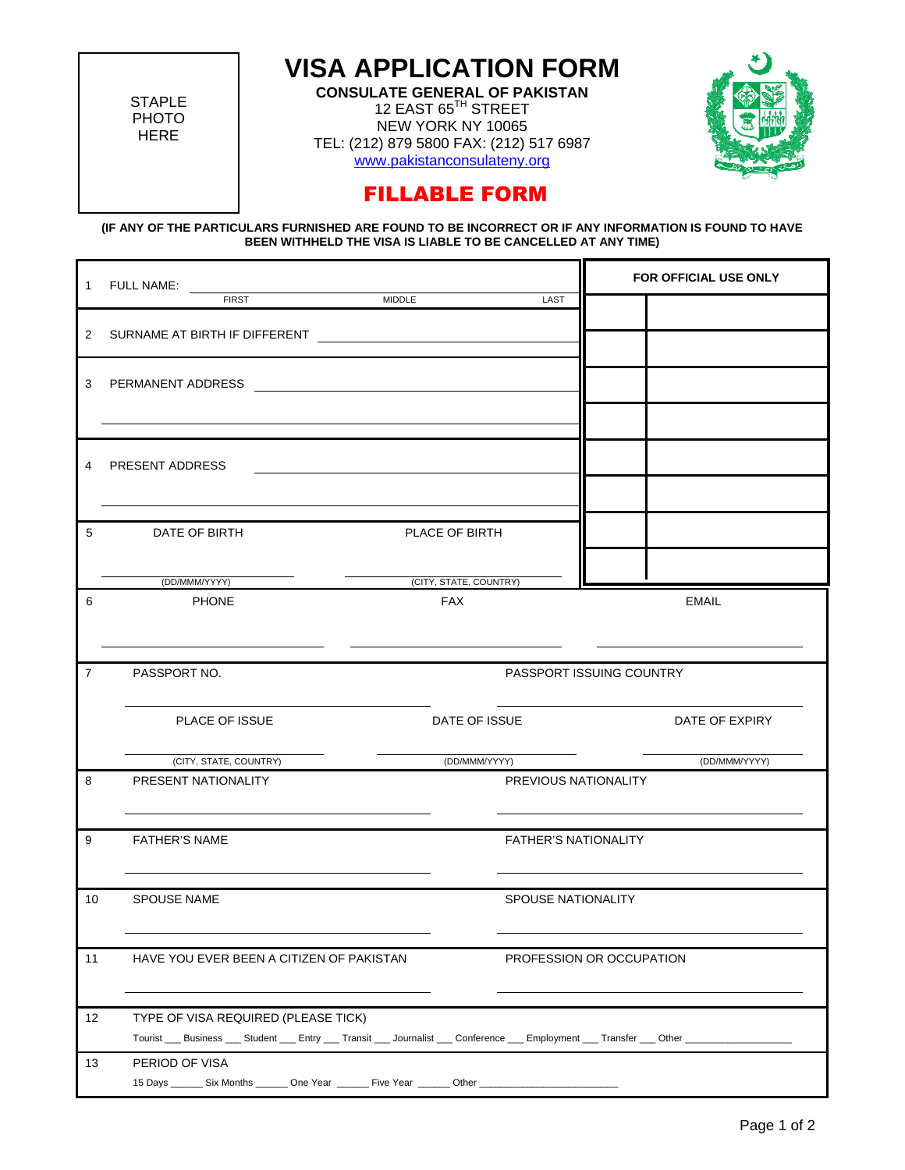**STAPLE** PHOTO HERE

## **VISA APPLICATION FORM**

**CONSULATE GENERAL OF PAKISTAN** 12 EAST 65<sup>TH</sup> STREET NEW YORK NY 10065 TEL: (212) 879 5800 FAX: (212) 517 6987 [www.pakistanconsulateny.org](http://www.pakistanconsulateny.org/)



## FILLABLE FORM

**(IF ANY OF THE PARTICULARS FURNISHED ARE FOUND TO BE INCORRECT OR IF ANY INFORMATION IS FOUND TO HAVE BEEN WITHHELD THE VISA IS LIABLE TO BE CANCELLED AT ANY TIME)** 

|                |                                                                                                                                          |                               | FOR OFFICIAL USE ONLY       |                          |                |  |
|----------------|------------------------------------------------------------------------------------------------------------------------------------------|-------------------------------|-----------------------------|--------------------------|----------------|--|
|                |                                                                                                                                          |                               | LAST                        |                          |                |  |
|                | 2 SURNAME AT BIRTH IF DIFFERENT <b>And Accept and Accept and Accept and Accept and Accept</b>                                            |                               |                             |                          |                |  |
|                | 3 PERMANENT ADDRESS                                                                                                                      |                               |                             |                          |                |  |
|                |                                                                                                                                          |                               |                             |                          |                |  |
|                | 4 PRESENT ADDRESS                                                                                                                        |                               |                             |                          |                |  |
|                |                                                                                                                                          |                               |                             |                          |                |  |
| 5              | DATE OF BIRTH                                                                                                                            | PLACE OF BIRTH                |                             |                          |                |  |
|                |                                                                                                                                          |                               |                             |                          |                |  |
| 6              | (DD/MMM/YYYY)<br><b>PHONE</b>                                                                                                            | (CITY, STATE, COUNTRY)<br>FAX |                             | EMAIL                    |                |  |
|                |                                                                                                                                          |                               |                             |                          |                |  |
| $\overline{7}$ | PASSPORT NO.                                                                                                                             |                               | PASSPORT ISSUING COUNTRY    |                          |                |  |
|                | PLACE OF ISSUE                                                                                                                           | DATE OF ISSUE                 |                             |                          | DATE OF EXPIRY |  |
|                | (CITY, STATE, COUNTRY)                                                                                                                   |                               |                             | (DD/MMM/YYYY)            | (DD/MMM/YYYY)  |  |
| 8              | PRESENT NATIONALITY                                                                                                                      |                               | PREVIOUS NATIONALITY        |                          |                |  |
| 9              | <b>FATHER'S NAME</b>                                                                                                                     |                               | <b>FATHER'S NATIONALITY</b> |                          |                |  |
| 10             | <b>SPOUSE NAME</b>                                                                                                                       |                               |                             | SPOUSE NATIONALITY       |                |  |
|                |                                                                                                                                          |                               |                             |                          |                |  |
| 11             | HAVE YOU EVER BEEN A CITIZEN OF PAKISTAN                                                                                                 |                               |                             | PROFESSION OR OCCUPATION |                |  |
|                |                                                                                                                                          |                               |                             |                          |                |  |
| 12             | TYPE OF VISA REQUIRED (PLEASE TICK)                                                                                                      |                               |                             |                          |                |  |
|                | Tourist ___ Business ___ Student ___ Entry ___ Transit ___ Journalist ___ Conference ___ Employment ___ Transfer ___ Other ___ ___ __ __ |                               |                             |                          |                |  |
| 13             | PERIOD OF VISA<br>15 Days ________ Six Months _______ One Year _______ Five Year _______ Other ___                                       |                               |                             |                          |                |  |
|                |                                                                                                                                          |                               |                             |                          |                |  |